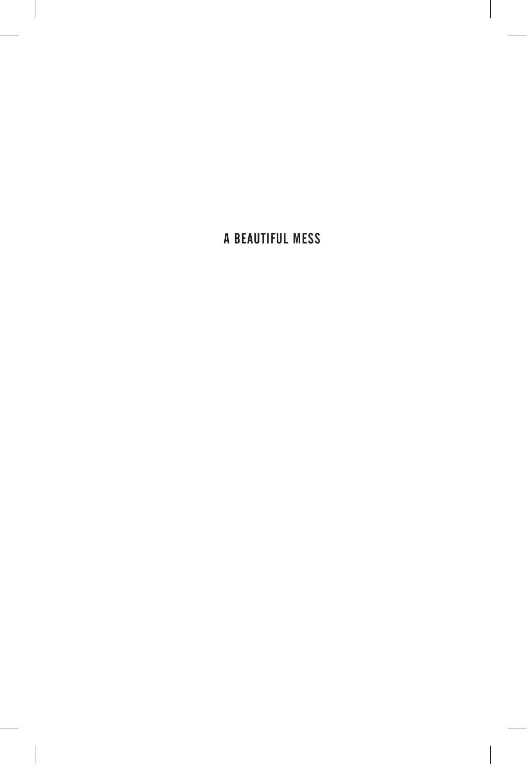. .  $\overline{\phantom{a}}$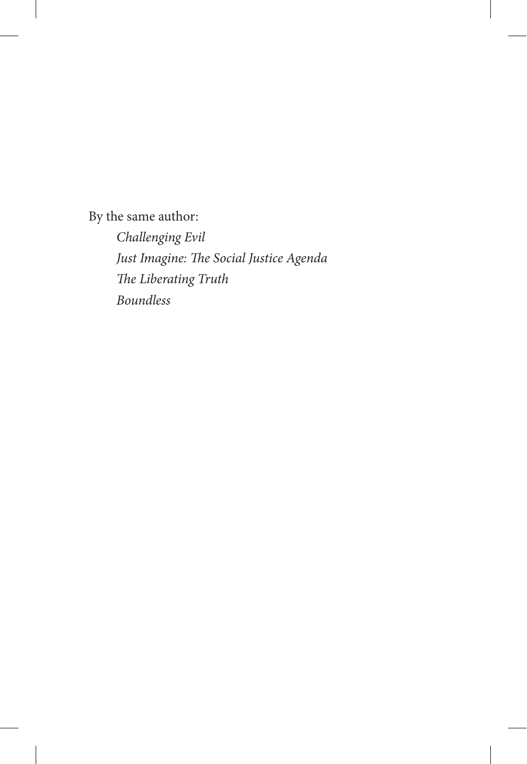By the same author:

l,

*Challenging Evil Just Imagine: The Social Justice Agenda The Liberating Truth Boundless*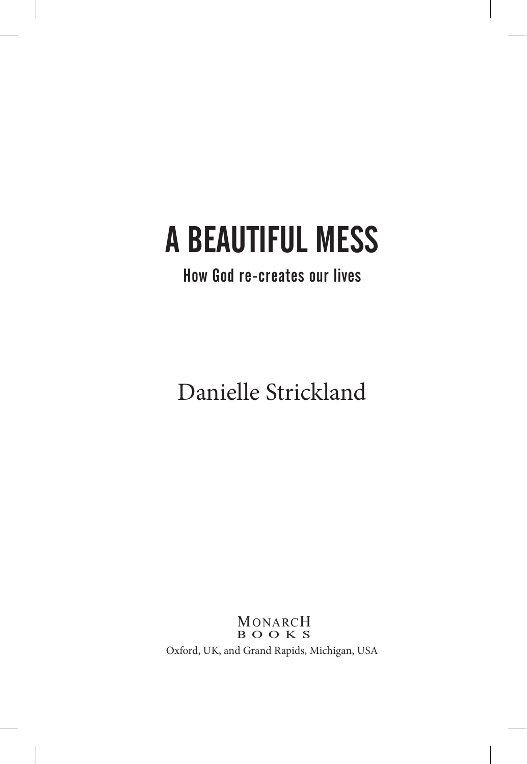ĺ

### How God re-creates our lives

Danielle Strickland

MONARCH<br>**BOOKS** Oxford, UK, and Grand Rapids, Michigan, USA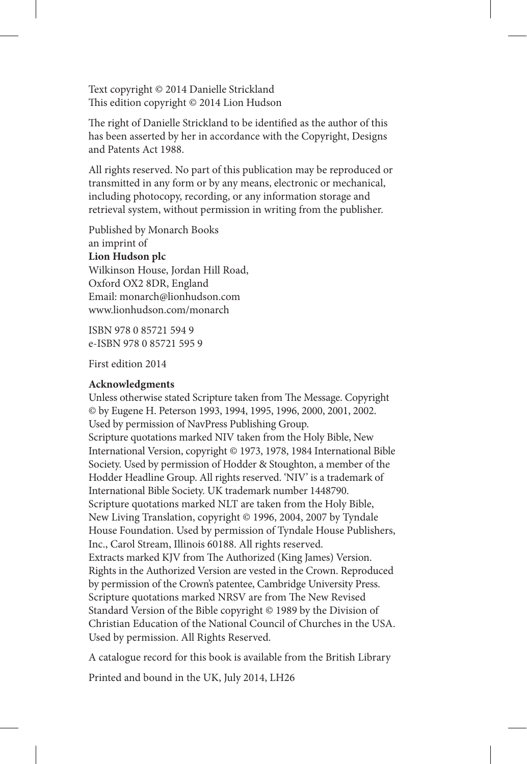Text copyright © 2014 Danielle Strickland This edition copyright © 2014 Lion Hudson

The right of Danielle Strickland to be identified as the author of this has been asserted by her in accordance with the Copyright, Designs and Patents Act 1988.

All rights reserved. No part of this publication may be reproduced or transmitted in any form or by any means, electronic or mechanical, including photocopy, recording, or any information storage and retrieval system, without permission in writing from the publisher.

Published by Monarch Books an imprint of **Lion Hudson plc** Wilkinson House, Jordan Hill Road, Oxford OX2 8DR, England Email: monarch@lionhudson.com www.lionhudson.com/monarch

ISBN 978 0 85721 594 9 e-ISBN 978 0 85721 595 9

First edition 2014

#### **Acknowledgments**

Unless otherwise stated Scripture taken from The Message. Copyright © by Eugene H. Peterson 1993, 1994, 1995, 1996, 2000, 2001, 2002. Used by permission of NavPress Publishing Group. Scripture quotations marked NIV taken from the Holy Bible, New International Version, copyright © 1973, 1978, 1984 International Bible Society. Used by permission of Hodder & Stoughton, a member of the Hodder Headline Group. All rights reserved. 'NIV' is a trademark of International Bible Society. UK trademark number 1448790. Scripture quotations marked NLT are taken from the Holy Bible, New Living Translation, copyright © 1996, 2004, 2007 by Tyndale House Foundation. Used by permission of Tyndale House Publishers, Inc., Carol Stream, Illinois 60188. All rights reserved. Extracts marked KJV from The Authorized (King James) Version. Rights in the Authorized Version are vested in the Crown. Reproduced by permission of the Crown's patentee, Cambridge University Press. Scripture quotations marked NRSV are from The New Revised Standard Version of the Bible copyright © 1989 by the Division of Christian Education of the National Council of Churches in the USA. Used by permission. All Rights Reserved.

A catalogue record for this book is available from the British Library

Printed and bound in the UK, July 2014, LH26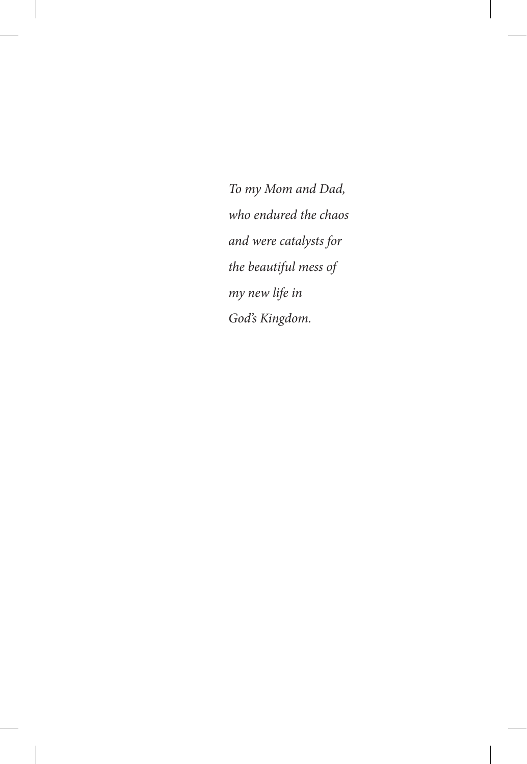*To my Mom and Dad, who endured the chaos and were catalysts for the beautiful mess of my new life in God's Kingdom.*

ĺ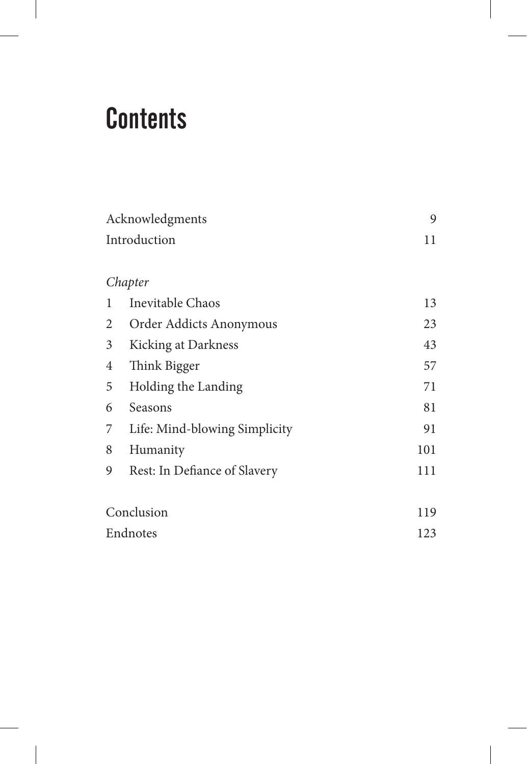### **Contents**

ĺ

| Acknowledgments |                               | 9   |
|-----------------|-------------------------------|-----|
| Introduction    |                               | 11  |
|                 |                               |     |
|                 | Chapter                       |     |
| 1               | Inevitable Chaos              | 13  |
| 2               | Order Addicts Anonymous       | 23  |
| 3               | Kicking at Darkness           | 43  |
| 4               | Think Bigger                  | 57  |
| 5               | Holding the Landing           | 71  |
| 6               | Seasons                       | 81  |
| 7               | Life: Mind-blowing Simplicity | 91  |
| 8               | Humanity                      | 101 |
| 9               | Rest: In Defiance of Slavery  | 111 |
|                 |                               |     |
| Conclusion      |                               | 119 |
| Endnotes        |                               | 123 |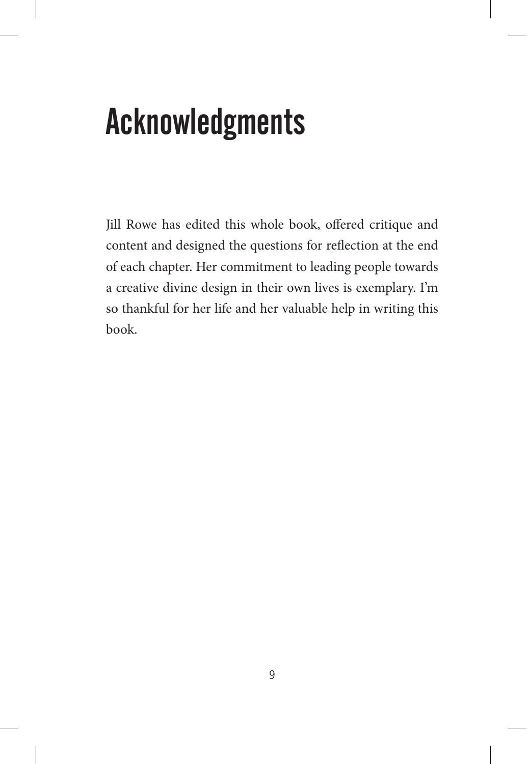# Acknowledgments

Jill Rowe has edited this whole book, offered critique and content and designed the questions for reflection at the end of each chapter. Her commitment to leading people towards a creative divine design in their own lives is exemplary. I'm so thankful for her life and her valuable help in writing this book.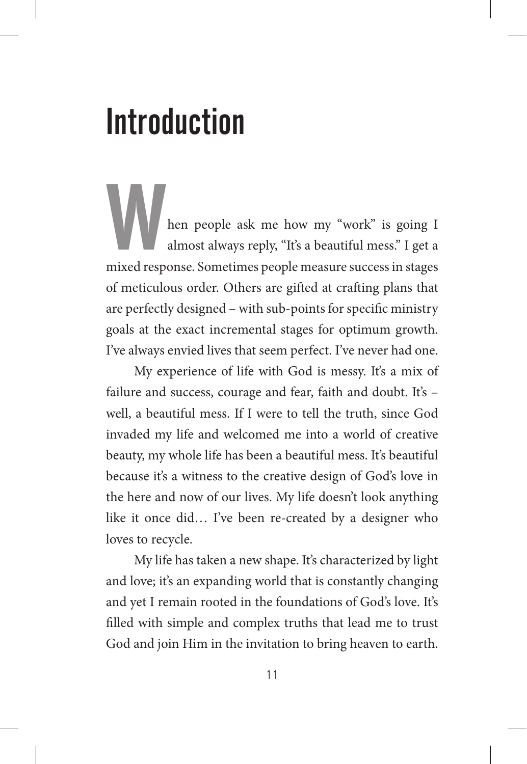### **Introduction**

hen people ask me how my "work" is going I almost always reply, "It's a beautiful mess." I get a mixed response. Sometimes people measure success in stages of meticulous order. Others are gifted at crafting plans that are perfectly designed – with sub-points for specific ministry goals at the exact incremental stages for optimum growth. I've always envied lives that seem perfect. I've never had one.

My experience of life with God is messy. It's a mix of failure and success, courage and fear, faith and doubt. It's – well, a beautiful mess. If I were to tell the truth, since God invaded my life and welcomed me into a world of creative beauty, my whole life has been a beautiful mess. It's beautiful because it's a witness to the creative design of God's love in the here and now of our lives. My life doesn't look anything like it once did… I've been re-created by a designer who loves to recycle.

My life has taken a new shape. It's characterized by light and love; it's an expanding world that is constantly changing and yet I remain rooted in the foundations of God's love. It's filled with simple and complex truths that lead me to trust God and join Him in the invitation to bring heaven to earth.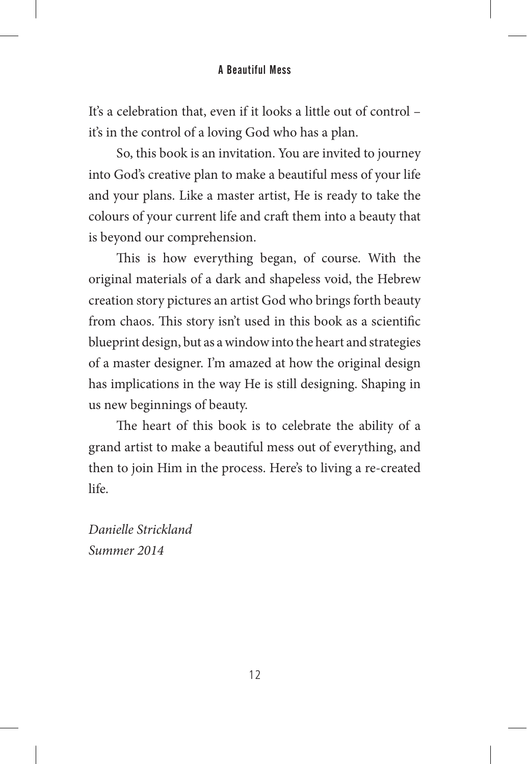It's a celebration that, even if it looks a little out of control – it's in the control of a loving God who has a plan.

So, this book is an invitation. You are invited to journey into God's creative plan to make a beautiful mess of your life and your plans. Like a master artist, He is ready to take the colours of your current life and craft them into a beauty that is beyond our comprehension.

This is how everything began, of course. With the original materials of a dark and shapeless void, the Hebrew creation story pictures an artist God who brings forth beauty from chaos. This story isn't used in this book as a scientific blueprint design, but as a window into the heart and strategies of a master designer. I'm amazed at how the original design has implications in the way He is still designing. Shaping in us new beginnings of beauty.

The heart of this book is to celebrate the ability of a grand artist to make a beautiful mess out of everything, and then to join Him in the process. Here's to living a re-created life.

*Danielle Strickland Summer 2014*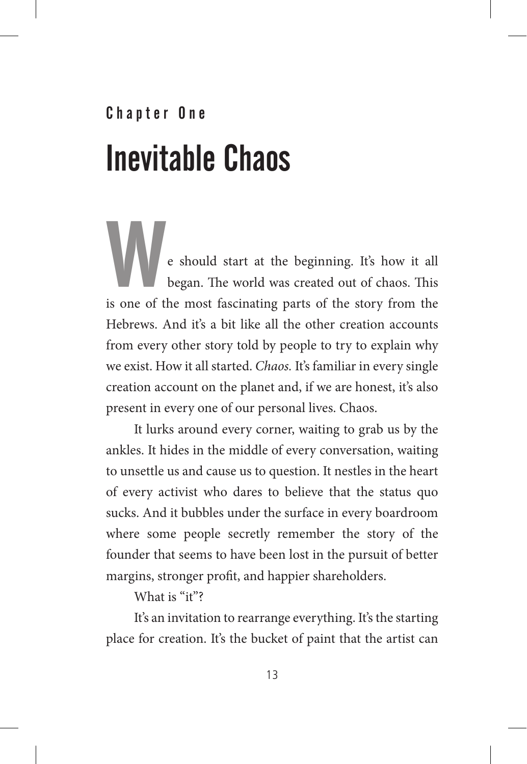# Chapter One Inevitable Chaos

e should start at the beginning. It's how it all began. The world was created out of chaos. This is one of the most fascinating parts of the story from the Hebrews. And it's a bit like all the other creation accounts from every other story told by people to try to explain why we exist. How it all started. *Chaos.* It's familiar in every single creation account on the planet and, if we are honest, it's also present in every one of our personal lives. Chaos.

It lurks around every corner, waiting to grab us by the ankles. It hides in the middle of every conversation, waiting to unsettle us and cause us to question. It nestles in the heart of every activist who dares to believe that the status quo sucks. And it bubbles under the surface in every boardroom where some people secretly remember the story of the founder that seems to have been lost in the pursuit of better margins, stronger profit, and happier shareholders.

What is "it"?

It's an invitation to rearrange everything. It's the starting place for creation. It's the bucket of paint that the artist can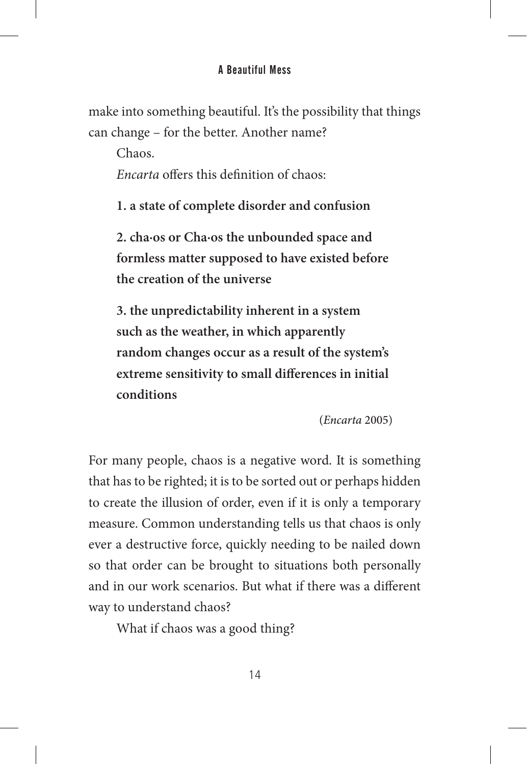make into something beautiful. It's the possibility that things can change – for the better. Another name?

Chaos.

*Encarta* offers this definition of chaos:

**1. a state of complete disorder and confusion**

**2. cha·os or Cha·os the unbounded space and formless matter supposed to have existed before the creation of the universe**

**3. the unpredictability inherent in a system such as the weather, in which apparently random changes occur as a result of the system's extreme sensitivity to small differences in initial conditions**

(*Encarta* 2005)

For many people, chaos is a negative word. It is something that has to be righted; it is to be sorted out or perhaps hidden to create the illusion of order, even if it is only a temporary measure. Common understanding tells us that chaos is only ever a destructive force, quickly needing to be nailed down so that order can be brought to situations both personally and in our work scenarios. But what if there was a different way to understand chaos?

What if chaos was a good thing?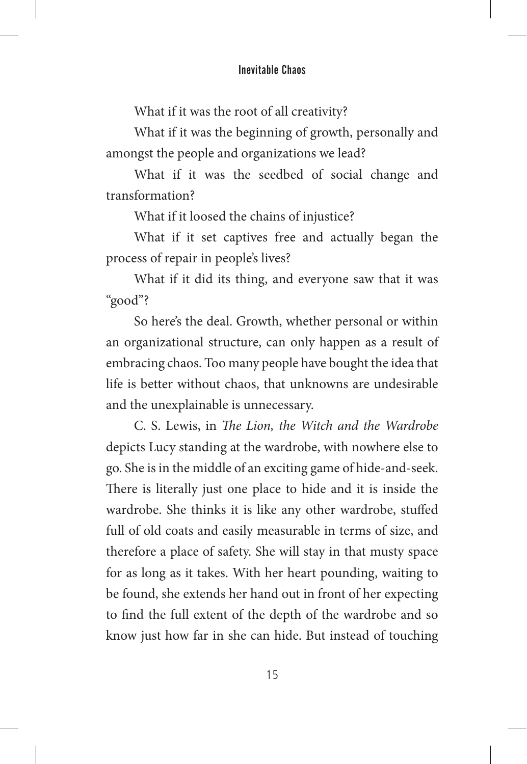#### Inevitable Chaos

What if it was the root of all creativity?

What if it was the beginning of growth, personally and amongst the people and organizations we lead?

What if it was the seedbed of social change and transformation?

What if it loosed the chains of injustice?

What if it set captives free and actually began the process of repair in people's lives?

What if it did its thing, and everyone saw that it was "good"?

So here's the deal. Growth, whether personal or within an organizational structure, can only happen as a result of embracing chaos. Too many people have bought the idea that life is better without chaos, that unknowns are undesirable and the unexplainable is unnecessary.

C. S. Lewis, in *The Lion, the Witch and the Wardrobe* depicts Lucy standing at the wardrobe, with nowhere else to go. She is in the middle of an exciting game of hide-and-seek. There is literally just one place to hide and it is inside the wardrobe. She thinks it is like any other wardrobe, stuffed full of old coats and easily measurable in terms of size, and therefore a place of safety. She will stay in that musty space for as long as it takes. With her heart pounding, waiting to be found, she extends her hand out in front of her expecting to find the full extent of the depth of the wardrobe and so know just how far in she can hide. But instead of touching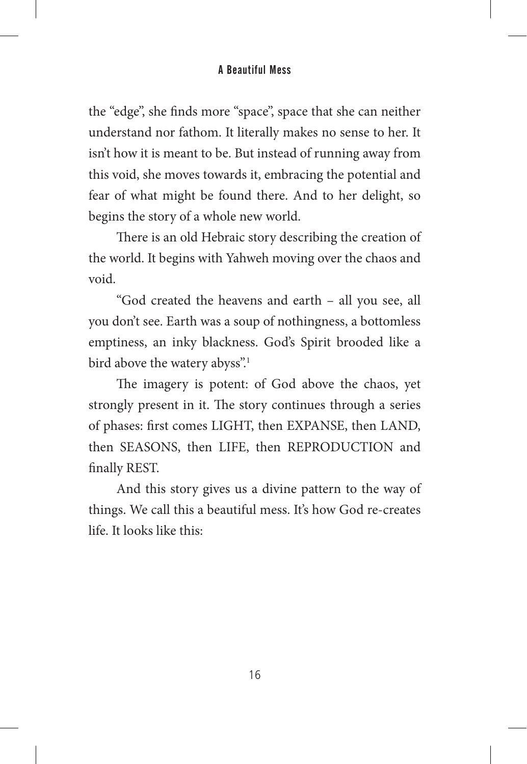the "edge", she finds more "space", space that she can neither understand nor fathom. It literally makes no sense to her. It isn't how it is meant to be. But instead of running away from this void, she moves towards it, embracing the potential and fear of what might be found there. And to her delight, so begins the story of a whole new world.

There is an old Hebraic story describing the creation of the world. It begins with Yahweh moving over the chaos and void.

"God created the heavens and earth – all you see, all you don't see. Earth was a soup of nothingness, a bottomless emptiness, an inky blackness. God's Spirit brooded like a bird above the watery abyss".<sup>1</sup>

The imagery is potent: of God above the chaos, yet strongly present in it. The story continues through a series of phases: first comes LIGHT, then EXPANSE, then LAND, then SEASONS, then LIFE, then REPRODUCTION and finally REST.

And this story gives us a divine pattern to the way of things. We call this a beautiful mess. It's how God re-creates life. It looks like this: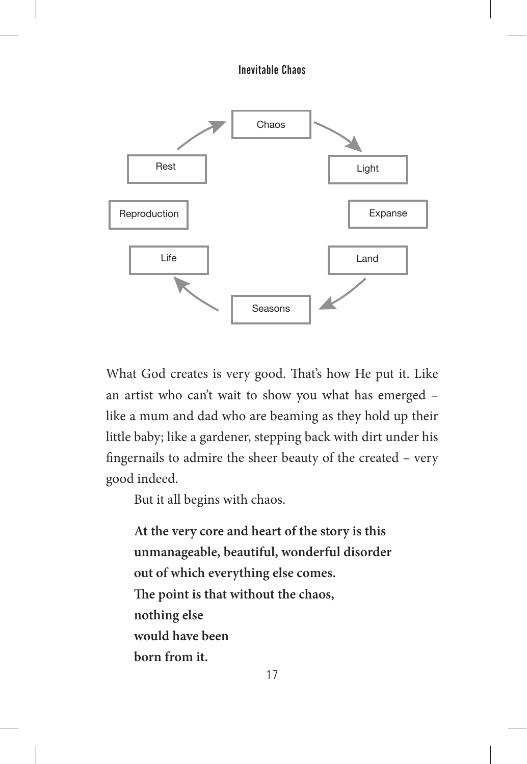Inevitable Chaos



What God creates is very good. That's how He put it. Like an artist who can't wait to show you what has emerged – like a mum and dad who are beaming as they hold up their little baby; like a gardener, stepping back with dirt under his fingernails to admire the sheer beauty of the created – very good indeed.

But it all begins with chaos.

**At the very core and heart of the story is this unmanageable, beautiful, wonderful disorder out of which everything else comes. The point is that without the chaos, nothing else would have been born from it.**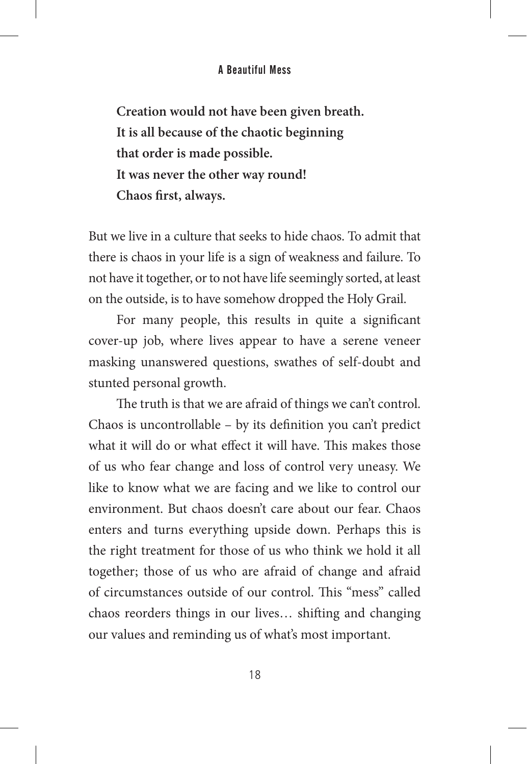**Creation would not have been given breath. It is all because of the chaotic beginning that order is made possible. It was never the other way round! Chaos first, always.**

But we live in a culture that seeks to hide chaos. To admit that there is chaos in your life is a sign of weakness and failure. To not have it together, or to not have life seemingly sorted, at least on the outside, is to have somehow dropped the Holy Grail.

For many people, this results in quite a significant cover-up job, where lives appear to have a serene veneer masking unanswered questions, swathes of self-doubt and stunted personal growth.

The truth is that we are afraid of things we can't control. Chaos is uncontrollable – by its definition you can't predict what it will do or what effect it will have. This makes those of us who fear change and loss of control very uneasy. We like to know what we are facing and we like to control our environment. But chaos doesn't care about our fear. Chaos enters and turns everything upside down. Perhaps this is the right treatment for those of us who think we hold it all together; those of us who are afraid of change and afraid of circumstances outside of our control. This "mess" called chaos reorders things in our lives… shifting and changing our values and reminding us of what's most important.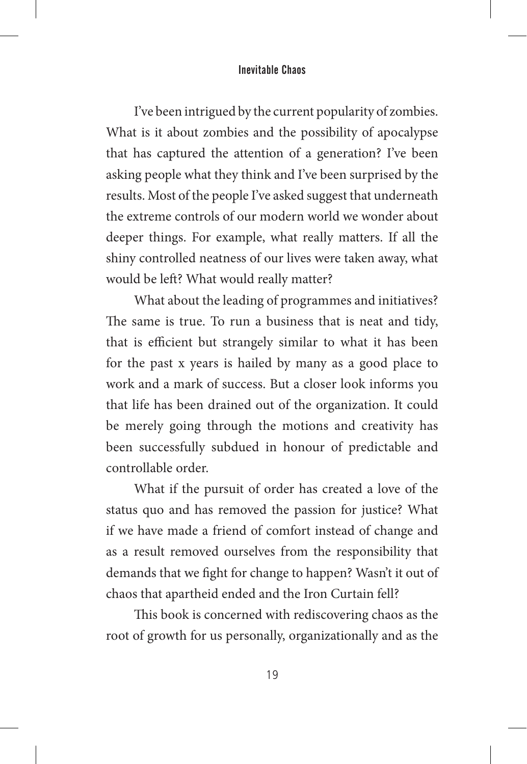#### Inevitable Chaos

I've been intrigued by the current popularity of zombies. What is it about zombies and the possibility of apocalypse that has captured the attention of a generation? I've been asking people what they think and I've been surprised by the results. Most of the people I've asked suggest that underneath the extreme controls of our modern world we wonder about deeper things. For example, what really matters. If all the shiny controlled neatness of our lives were taken away, what would be left? What would really matter?

What about the leading of programmes and initiatives? The same is true. To run a business that is neat and tidy, that is efficient but strangely similar to what it has been for the past x years is hailed by many as a good place to work and a mark of success. But a closer look informs you that life has been drained out of the organization. It could be merely going through the motions and creativity has been successfully subdued in honour of predictable and controllable order.

What if the pursuit of order has created a love of the status quo and has removed the passion for justice? What if we have made a friend of comfort instead of change and as a result removed ourselves from the responsibility that demands that we fight for change to happen? Wasn't it out of chaos that apartheid ended and the Iron Curtain fell?

This book is concerned with rediscovering chaos as the root of growth for us personally, organizationally and as the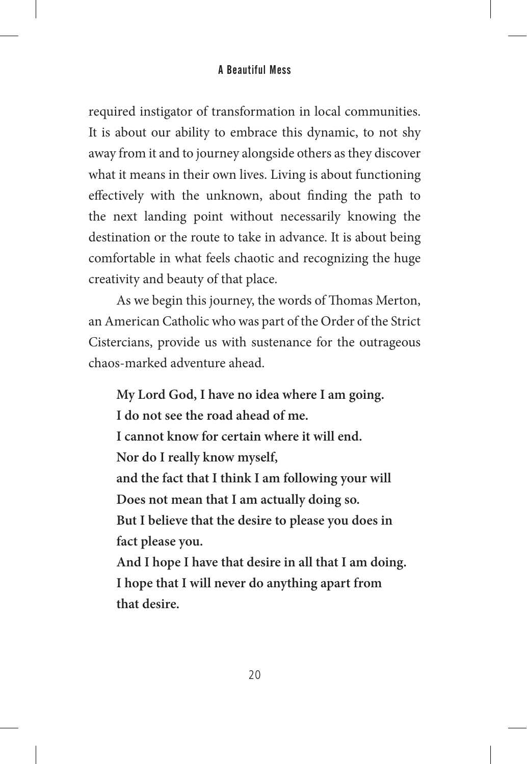required instigator of transformation in local communities. It is about our ability to embrace this dynamic, to not shy away from it and to journey alongside others as they discover what it means in their own lives. Living is about functioning effectively with the unknown, about finding the path to the next landing point without necessarily knowing the destination or the route to take in advance. It is about being comfortable in what feels chaotic and recognizing the huge creativity and beauty of that place.

As we begin this journey, the words of Thomas Merton, an American Catholic who was part of the Order of the Strict Cistercians, provide us with sustenance for the outrageous chaos-marked adventure ahead.

**My Lord God, I have no idea where I am going. I do not see the road ahead of me. I cannot know for certain where it will end. Nor do I really know myself, and the fact that I think I am following your will Does not mean that I am actually doing so. But I believe that the desire to please you does in fact please you. And I hope I have that desire in all that I am doing. I hope that I will never do anything apart from that desire.**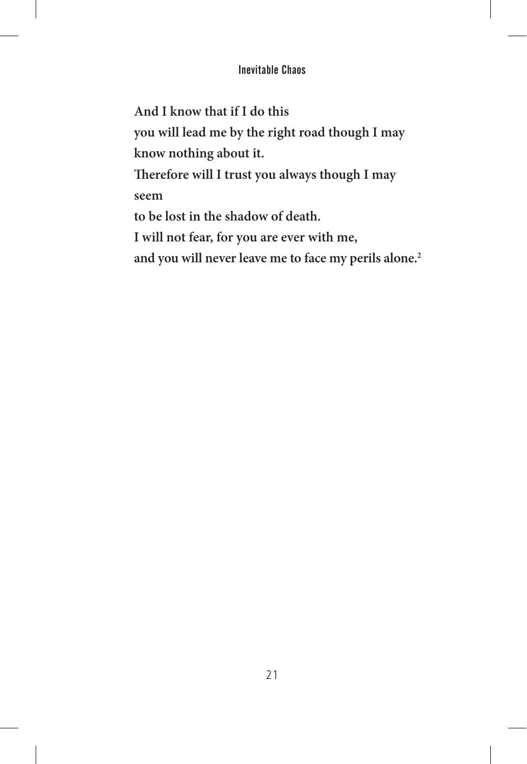#### Inevitable Chaos

**And I know that if I do this**

l,

**you will lead me by the right road though I may know nothing about it.**

**Therefore will I trust you always though I may seem**

**to be lost in the shadow of death.**

**I will not fear, for you are ever with me,** 

**and you will never leave me to face my perils alone.2**